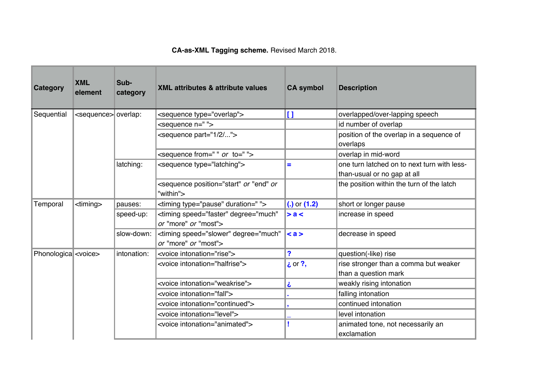## **CA-as-XML Tagging scheme.** Revised March 2018.

| Category                    | <b>XML</b><br>element          | Sub-<br>category | <b>XML attributes &amp; attribute values</b>                                 | <b>CA symbol</b> | <b>Description</b>                                                         |
|-----------------------------|--------------------------------|------------------|------------------------------------------------------------------------------|------------------|----------------------------------------------------------------------------|
| Sequential                  | <sequence> overlap:</sequence> |                  | <sequence type="overlap"></sequence>                                         | $\mathbf{I}$     | overlapped/over-lapping speech                                             |
|                             |                                |                  | <sequence n=" "></sequence>                                                  |                  | id number of overlap                                                       |
|                             |                                |                  | <sequence part="1/2/"></sequence>                                            |                  | position of the overlap in a sequence of<br>overlaps                       |
|                             |                                |                  | <sequence from=" " or="" to=" "></sequence>                                  |                  | overlap in mid-word                                                        |
|                             |                                | latching:        | <sequence type="latching"></sequence>                                        | Ξ                | one turn latched on to next turn with less-<br>than-usual or no gap at all |
|                             |                                |                  | <sequence "end"="" or="" or<br="" position="start">"within"&gt;</sequence>   |                  | the position within the turn of the latch                                  |
| Temporal                    | $\text{diming}$                | pauses:          | <timing duration=" " type="pause"></timing>                                  | (.) or $(1.2)$   | short or longer pause                                                      |
|                             |                                | speed-up:        | <timing <br="" degree="much" speed="faster">or "more" or "most"&gt;</timing> | > a <            | increase in speed                                                          |
|                             |                                | slow-down:       | <timing <br="" degree="much" speed="slower">or "more" or "most"&gt;</timing> | $\leq a$         | decrease in speed                                                          |
| Phonologica <voice></voice> |                                | intonation:      | <voice intonation="rise"></voice>                                            | ?                | question(-like) rise                                                       |
|                             |                                |                  | <voice intonation="halfrise"></voice>                                        | $i$ or ?,        | rise stronger than a comma but weaker<br>than a question mark              |
|                             |                                |                  | <voice intonation="weakrise"></voice>                                        | نح               | weakly rising intonation                                                   |
|                             |                                |                  | <voice intonation="fall"></voice>                                            |                  | falling intonation                                                         |
|                             |                                |                  | <voice intonation="continued"></voice>                                       |                  | continued intonation                                                       |
|                             |                                |                  | <voice intonation="level"></voice>                                           |                  | level intonation                                                           |
|                             |                                |                  | <voice intonation="animated"></voice>                                        |                  | animated tone, not necessarily an<br>exclamation                           |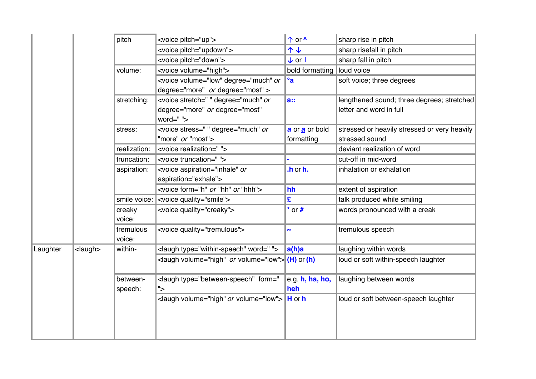|          |                                    | pitch        | <voice pitch="up"></voice>                                                                                                                                                                                                                                       | ↑ or <u>^</u>           | sharp rise in pitch                          |
|----------|------------------------------------|--------------|------------------------------------------------------------------------------------------------------------------------------------------------------------------------------------------------------------------------------------------------------------------|-------------------------|----------------------------------------------|
|          |                                    |              | <voice pitch="updown"></voice>                                                                                                                                                                                                                                   | 个业                      | sharp risefall in pitch                      |
|          |                                    |              | <voice pitch="down"></voice>                                                                                                                                                                                                                                     | $\downarrow$ or $\vert$ | sharp fall in pitch                          |
|          |                                    | volume:      | <voice volume="high"></voice>                                                                                                                                                                                                                                    | bold formatting         | loud voice                                   |
|          |                                    |              | <voice degree="much" or<="" td="" volume="low"><td>°a</td><td>soft voice; three degrees</td></voice>                                                                                                                                                             | °a                      | soft voice; three degrees                    |
|          |                                    |              | degree="more" or degree="most" >                                                                                                                                                                                                                                 |                         |                                              |
|          |                                    | stretching:  | <voice degree="much" or<="" stretch=" " td=""><td>a::</td><td>lengthened sound; three degrees; stretched</td></voice>                                                                                                                                            | a::                     | lengthened sound; three degrees; stretched   |
|          |                                    |              | degree="more" or degree="most"                                                                                                                                                                                                                                   |                         | letter and word in full                      |
|          |                                    |              | word=" ">                                                                                                                                                                                                                                                        |                         |                                              |
|          |                                    | stress:      | <voice degree="much" or<="" stress=" " td=""><td>a or a or bold</td><td>stressed or heavily stressed or very heavily</td></voice>                                                                                                                                | a or a or bold          | stressed or heavily stressed or very heavily |
|          |                                    |              | "more" or "most">                                                                                                                                                                                                                                                | formatting              | stressed sound                               |
|          |                                    | realization: | <voice realization=" "></voice>                                                                                                                                                                                                                                  |                         | deviant realization of word                  |
|          |                                    | truncation:  | <voice truncation=" "></voice>                                                                                                                                                                                                                                   |                         | cut-off in mid-word                          |
|          |                                    | aspiration:  | <voice aspiration="inhale" or<="" td=""><td>.h or h.</td><td>inhalation or exhalation</td></voice>                                                                                                                                                               | .h or h.                | inhalation or exhalation                     |
|          |                                    |              | aspiration="exhale">                                                                                                                                                                                                                                             |                         |                                              |
|          |                                    |              | <voice "hh"="" "hhh"="" form="h" or=""></voice>                                                                                                                                                                                                                  | hh                      | extent of aspiration                         |
|          |                                    | smile voice: | <voice quality="smile"></voice>                                                                                                                                                                                                                                  | £                       | talk produced while smiling                  |
|          |                                    | creaky       | <voice quality="creaky"></voice>                                                                                                                                                                                                                                 | $*$ or $#$              | words pronounced with a creak                |
|          |                                    | voice:       |                                                                                                                                                                                                                                                                  |                         |                                              |
|          |                                    | tremulous    | <voice quality="tremulous"></voice>                                                                                                                                                                                                                              | $\tilde{\phantom{a}}$   | tremulous speech                             |
|          |                                    | voice:       |                                                                                                                                                                                                                                                                  |                         |                                              |
| Laughter | $\langle$ laugh $>$                | within-      | <laugh type="within-speech" word=" "></laugh>                                                                                                                                                                                                                    | a(h)a                   | laughing within words                        |
|          |                                    |              | <laugh or="" volume="low"> (H) or (h)</laugh>                                                                                                                                                                                                                    |                         | loud or soft within-speech laughter          |
|          |                                    | between-     | <laugh form="&lt;/td&gt;&lt;td&gt;e.g. h, ha, ho,&lt;/td&gt;&lt;td&gt;laughing between words&lt;/td&gt;&lt;/tr&gt;&lt;tr&gt;&lt;td rowspan=2&gt;&lt;/td&gt;&lt;td rowspan=2&gt;&lt;/td&gt;&lt;td&gt;speech:&lt;/td&gt;&lt;td&gt;" type="between-speech"></laugh> | heh                     |                                              |
|          | <laugh or="" volume="low"></laugh> | $H$ or $h$   | loud or soft between-speech laughter                                                                                                                                                                                                                             |                         |                                              |
|          |                                    |              |                                                                                                                                                                                                                                                                  |                         |                                              |
|          |                                    |              |                                                                                                                                                                                                                                                                  |                         |                                              |
|          |                                    |              |                                                                                                                                                                                                                                                                  |                         |                                              |
|          |                                    |              |                                                                                                                                                                                                                                                                  |                         |                                              |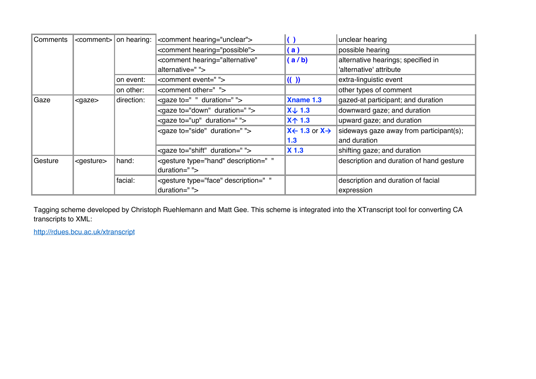| Comments | <comment></comment> | on hearing: | <comment hearing="unclear"></comment>                                                                                | $\left( \right)$                                               | unclear hearing                          |
|----------|---------------------|-------------|----------------------------------------------------------------------------------------------------------------------|----------------------------------------------------------------|------------------------------------------|
|          |                     |             | <comment hearing="possible"></comment>                                                                               | (a)                                                            | possible hearing                         |
|          |                     |             | <comment <="" hearing="alternative" td=""><td>(a/b)</td><td>alternative hearings; specified in</td></comment>        | (a/b)                                                          | alternative hearings; specified in       |
|          |                     |             | alternative=" ">                                                                                                     |                                                                | 'alternative' attribute                  |
|          |                     | on event:   | <comment event=""></comment>                                                                                         | $\left( \left( \begin{array}{c} 1 \end{array} \right) \right)$ | extra-linguistic event                   |
|          |                     | on other:   | <comment other=""></comment>                                                                                         |                                                                | other types of comment                   |
| Gaze     | $<$ gaze $>$        | direction:  | <gaze duration="" to=" "></gaze>                                                                                     | <b>Xname 1.3</b>                                               | gazed-at participant; and duration       |
|          |                     |             | <gaze duration=" " to="down"></gaze>                                                                                 | $X \downarrow 1.3$                                             | downward gaze; and duration              |
|          |                     |             | <gaze duration=" " to="up"></gaze>                                                                                   | X <sup>1</sup> .3                                              | upward gaze; and duration                |
|          |                     |             | <gaze duration="" to="side"></gaze>                                                                                  | $X \leftarrow 1.3$ or $X \rightarrow$                          | sideways gaze away from participant(s);  |
|          |                     |             |                                                                                                                      | 1.3                                                            | and duration                             |
|          |                     |             | <gaze duration="" to="shift"></gaze>                                                                                 | <b>X</b> 1.3                                                   | shifting gaze; and duration              |
| Gesture  | <gesture></gesture> | hand:       | <gesture <="" description=" " td="" type="hand"><td></td><td>description and duration of hand gesture</td></gesture> |                                                                | description and duration of hand gesture |
|          |                     |             | duration=" ">                                                                                                        |                                                                |                                          |
|          |                     | facial:     | <gesture <="" description=" " td="" type="face"><td></td><td>description and duration of facial</td></gesture>       |                                                                | description and duration of facial       |
|          |                     |             | duration=" ">                                                                                                        |                                                                | expression                               |

Tagging scheme developed by Christoph Ruehlemann and Matt Gee. This scheme is integrated into the XTranscript tool for converting CA transcripts to XML:

http://rdues.bcu.ac.uk/xtranscript